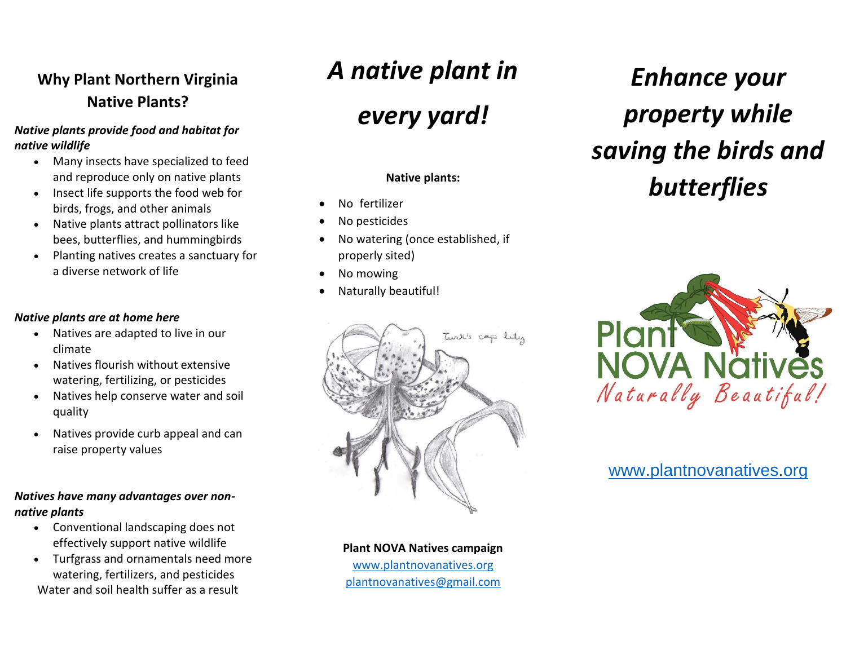# **Why Plant Northern Virginia Native Plants?**

#### *Native plants provide food and habitat for native wildlife*

- Many insects have specialized to feed and reproduce only on native plants
- Insect life supports the food web for birds, frogs, and other animals
- Native plants attract pollinators like bees, butterflies, and hummingbirds
- Planting natives creates a sanctuary for a diverse network of life

#### *Native plants are at home here*

- Natives are adapted to live in our climate
- Natives flourish without extensive watering, fertilizing, or pesticides
- Natives help conserve water and soil quality
- Natives provide curb appeal and can raise property values

#### *Natives have many advantages over nonnative plants*

- Conventional landscaping does not effectively support native wildlife
- Turfgrass and ornamentals need more watering, fertilizers, and pesticides Water and soil health suffer as a result

# *A native plant in*

# *every yard!*

### **Native plants:**

- No fertilizer
- No pesticides
- No watering (once established, if properly sited)
- No mowing
- Naturally beautiful!



*Enhance your property while saving the birds and butterflies* 



# [www.plantnovanatives.org](http://www.plantnovanatives.org/)

**Plant NOVA Natives campaign** [www.plantnovanatives.org](http://www.plantnovanatives.org/) [plantnovanatives@gmail.com](mailto:plantnovanatives@gmail.com)